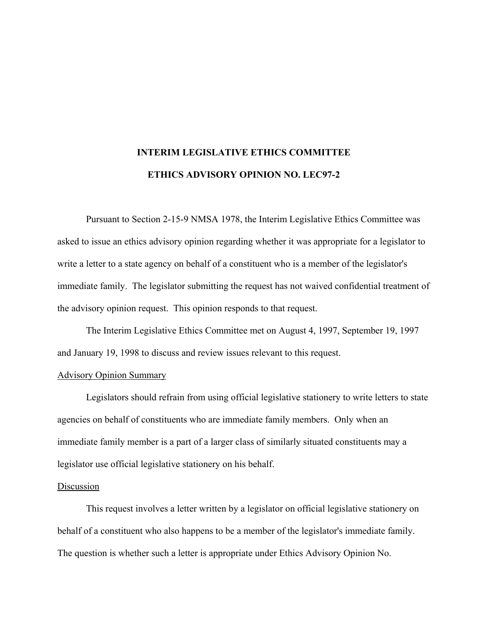## **INTERIM LEGISLATIVE ETHICS COMMITTEE ETHICS ADVISORY OPINION NO. LEC97-2**

Pursuant to Section 2-15-9 NMSA 1978, the Interim Legislative Ethics Committee was asked to issue an ethics advisory opinion regarding whether it was appropriate for a legislator to write a letter to a state agency on behalf of a constituent who is a member of the legislator's immediate family. The legislator submitting the request has not waived confidential treatment of the advisory opinion request. This opinion responds to that request.

The Interim Legislative Ethics Committee met on August 4, 1997, September 19, 1997 and January 19, 1998 to discuss and review issues relevant to this request.

## Advisory Opinion Summary

Legislators should refrain from using official legislative stationery to write letters to state agencies on behalf of constituents who are immediate family members. Only when an immediate family member is a part of a larger class of similarly situated constituents may a legislator use official legislative stationery on his behalf.

## Discussion

This request involves a letter written by a legislator on official legislative stationery on behalf of a constituent who also happens to be a member of the legislator's immediate family. The question is whether such a letter is appropriate under Ethics Advisory Opinion No.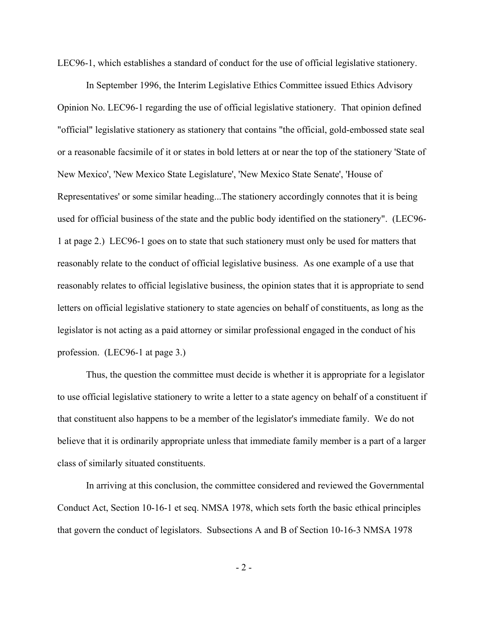LEC96-1, which establishes a standard of conduct for the use of official legislative stationery.

In September 1996, the Interim Legislative Ethics Committee issued Ethics Advisory Opinion No. LEC96-1 regarding the use of official legislative stationery. That opinion defined "official" legislative stationery as stationery that contains "the official, gold-embossed state seal or a reasonable facsimile of it or states in bold letters at or near the top of the stationery 'State of New Mexico', 'New Mexico State Legislature', 'New Mexico State Senate', 'House of Representatives' or some similar heading...The stationery accordingly connotes that it is being used for official business of the state and the public body identified on the stationery". (LEC96- 1 at page 2.) LEC96-1 goes on to state that such stationery must only be used for matters that reasonably relate to the conduct of official legislative business. As one example of a use that reasonably relates to official legislative business, the opinion states that it is appropriate to send letters on official legislative stationery to state agencies on behalf of constituents, as long as the legislator is not acting as a paid attorney or similar professional engaged in the conduct of his profession. (LEC96-1 at page 3.)

Thus, the question the committee must decide is whether it is appropriate for a legislator to use official legislative stationery to write a letter to a state agency on behalf of a constituent if that constituent also happens to be a member of the legislator's immediate family. We do not believe that it is ordinarily appropriate unless that immediate family member is a part of a larger class of similarly situated constituents.

In arriving at this conclusion, the committee considered and reviewed the Governmental Conduct Act, Section 10-16-1 et seq. NMSA 1978, which sets forth the basic ethical principles that govern the conduct of legislators. Subsections A and B of Section 10-16-3 NMSA 1978

 $-2 -$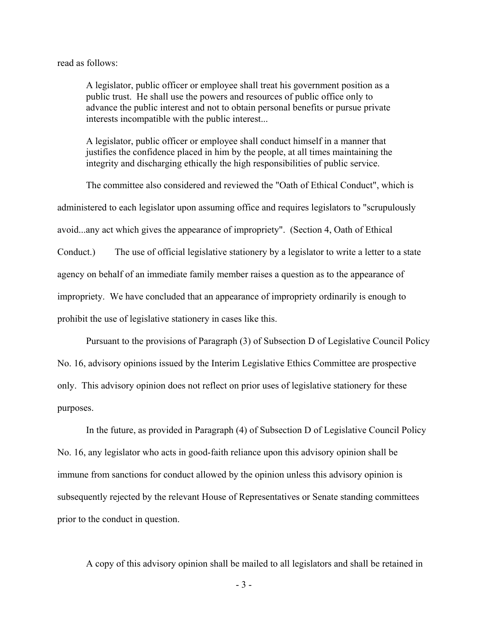## read as follows:

A legislator, public officer or employee shall treat his government position as a public trust. He shall use the powers and resources of public office only to advance the public interest and not to obtain personal benefits or pursue private interests incompatible with the public interest...

A legislator, public officer or employee shall conduct himself in a manner that justifies the confidence placed in him by the people, at all times maintaining the integrity and discharging ethically the high responsibilities of public service.

The committee also considered and reviewed the "Oath of Ethical Conduct", which is administered to each legislator upon assuming office and requires legislators to "scrupulously avoid...any act which gives the appearance of impropriety". (Section 4, Oath of Ethical Conduct.) The use of official legislative stationery by a legislator to write a letter to a state agency on behalf of an immediate family member raises a question as to the appearance of impropriety. We have concluded that an appearance of impropriety ordinarily is enough to prohibit the use of legislative stationery in cases like this.

Pursuant to the provisions of Paragraph (3) of Subsection D of Legislative Council Policy No. 16, advisory opinions issued by the Interim Legislative Ethics Committee are prospective only. This advisory opinion does not reflect on prior uses of legislative stationery for these purposes.

In the future, as provided in Paragraph (4) of Subsection D of Legislative Council Policy No. 16, any legislator who acts in good-faith reliance upon this advisory opinion shall be immune from sanctions for conduct allowed by the opinion unless this advisory opinion is subsequently rejected by the relevant House of Representatives or Senate standing committees prior to the conduct in question.

A copy of this advisory opinion shall be mailed to all legislators and shall be retained in

- 3 -